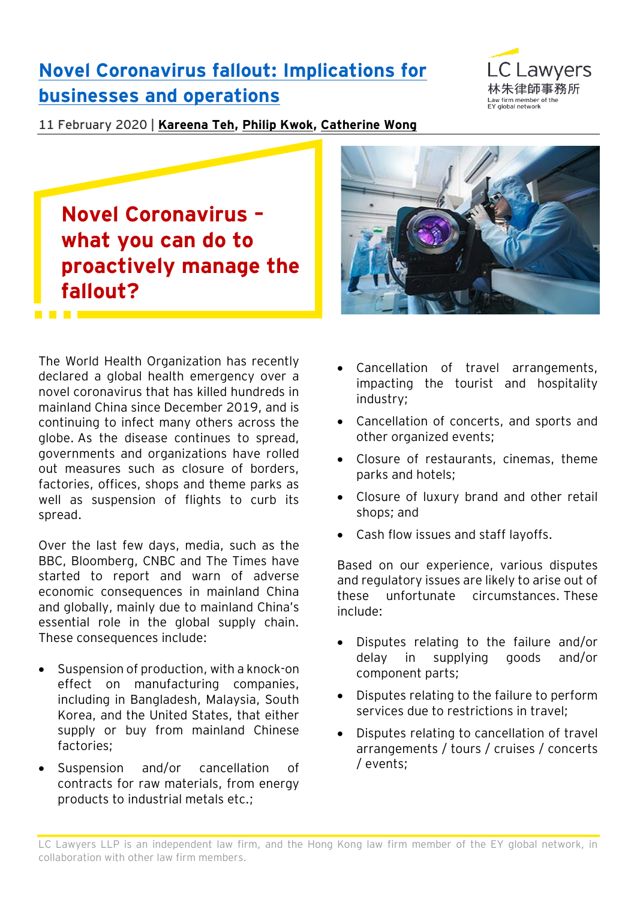## **[Novel Coronavirus fallout: Implications for](https://www.eylaw.com.hk/en_hk/publications/our-latest-thinking/2020/feb/novel-coronavirus-fallout--implications-for-businesses-and-operations)  [businesses and operations](https://www.eylaw.com.hk/en_hk/publications/our-latest-thinking/2020/feb/novel-coronavirus-fallout--implications-for-businesses-and-operations)**



11 February 2020 | **[Kareena Teh,](https://www.eylaw.com.hk/en_hk/people/kareena-teh) [Philip Kwok,](https://www.eylaw.com.hk/en_hk/people/philip-kwok) [Catherine Wong](https://www.eylaw.com.hk/en_hk/people/catherine-wong)**

# **Novel Coronavirus – what you can do to proactively manage the fallout?**

The World Health Organization has recently declared a global health emergency over a novel coronavirus that has killed hundreds in mainland China since December 2019, and is continuing to infect many others across the globe. As the disease continues to spread, governments and organizations have rolled out measures such as closure of borders, factories, offices, shops and theme parks as well as suspension of flights to curb its spread.

Over the last few days, media, such as the BBC, Bloomberg, CNBC and The Times have started to report and warn of adverse economic consequences in mainland China and globally, mainly due to mainland China's essential role in the global supply chain. These consequences include:

- Suspension of production, with a knock-on effect on manufacturing companies, including in Bangladesh, Malaysia, South Korea, and the United States, that either supply or buy from mainland Chinese factories;
- Suspension and/or cancellation of contracts for raw materials, from energy products to industrial metals etc.;



- Cancellation of travel arrangements, impacting the tourist and hospitality industry;
- Cancellation of concerts, and sports and other organized events;
- Closure of restaurants, cinemas, theme parks and hotels;
- Closure of luxury brand and other retail shops; and
- Cash flow issues and staff layoffs.

Based on our experience, various disputes and regulatory issues are likely to arise out of these unfortunate circumstances. These include:

- Disputes relating to the failure and/or delay in supplying goods and/or component parts;
- Disputes relating to the failure to perform services due to restrictions in travel;
- Disputes relating to cancellation of travel arrangements / tours / cruises / concerts / events;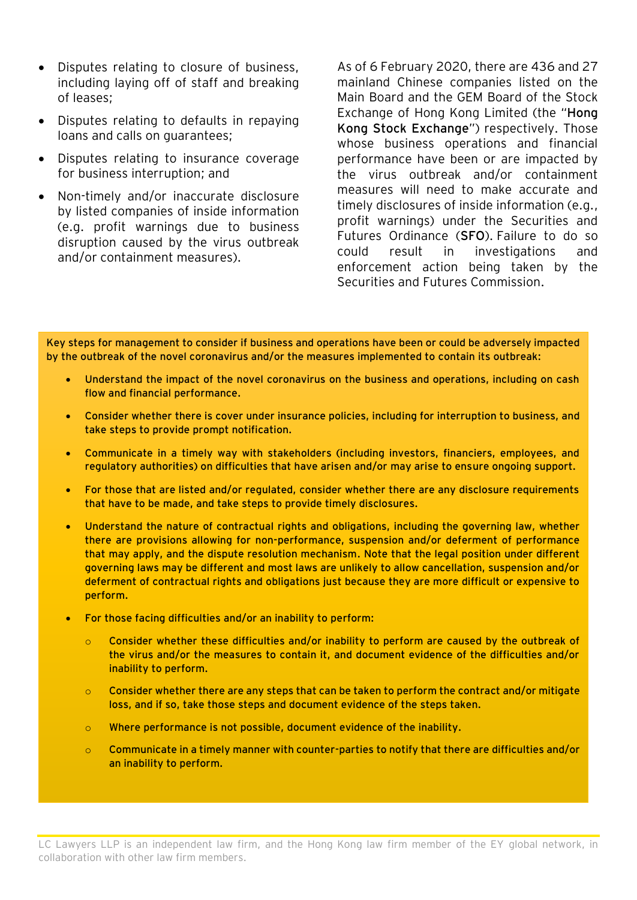- Disputes relating to closure of business, including laying off of staff and breaking of leases;
- Disputes relating to defaults in repaying loans and calls on guarantees;
- Disputes relating to insurance coverage for business interruption; and
- Non-timely and/or inaccurate disclosure by listed companies of inside information (e.g. profit warnings due to business disruption caused by the virus outbreak and/or containment measures).

As of 6 February 2020, there are 436 and 27 mainland Chinese companies listed on the Main Board and the GEM Board of the Stock Exchange of Hong Kong Limited (the "**Hong Kong Stock Exchange**") respectively. Those whose business operations and financial performance have been or are impacted by the virus outbreak and/or containment measures will need to make accurate and timely disclosures of inside information (e.g., profit warnings) under the Securities and Futures Ordinance (**SFO**). Failure to do so could result in investigations and enforcement action being taken by the Securities and Futures Commission.

Key steps for management to consider if business and operations have been or could be adversely impacted by the outbreak of the novel coronavirus and/or the measures implemented to contain its outbreak:

- Understand the impact of the novel coronavirus on the business and operations, including on cash flow and financial performance.
- Consider whether there is cover under insurance policies, including for interruption to business, and take steps to provide prompt notification.
- Communicate in a timely way with stakeholders (including investors, financiers, employees, and regulatory authorities) on difficulties that have arisen and/or may arise to ensure ongoing support.
- For those that are listed and/or regulated, consider whether there are any disclosure requirements that have to be made, and take steps to provide timely disclosures.
- Understand the nature of contractual rights and obligations, including the governing law, whether there are provisions allowing for non-performance, suspension and/or deferment of performance that may apply, and the dispute resolution mechanism. Note that the legal position under different governing laws may be different and most laws are unlikely to allow cancellation, suspension and/or deferment of contractual rights and obligations just because they are more difficult or expensive to perform.
- For those facing difficulties and/or an inability to perform:
	- $\circ$  Consider whether these difficulties and/or inability to perform are caused by the outbreak of the virus and/or the measures to contain it, and document evidence of the difficulties and/or inability to perform.
	- $\circ$  Consider whether there are any steps that can be taken to perform the contract and/or mitigate loss, and if so, take those steps and document evidence of the steps taken.
	- o Where performance is not possible, document evidence of the inability.
	- $\circ$  Communicate in a timely manner with counter-parties to notify that there are difficulties and/or an inability to perform.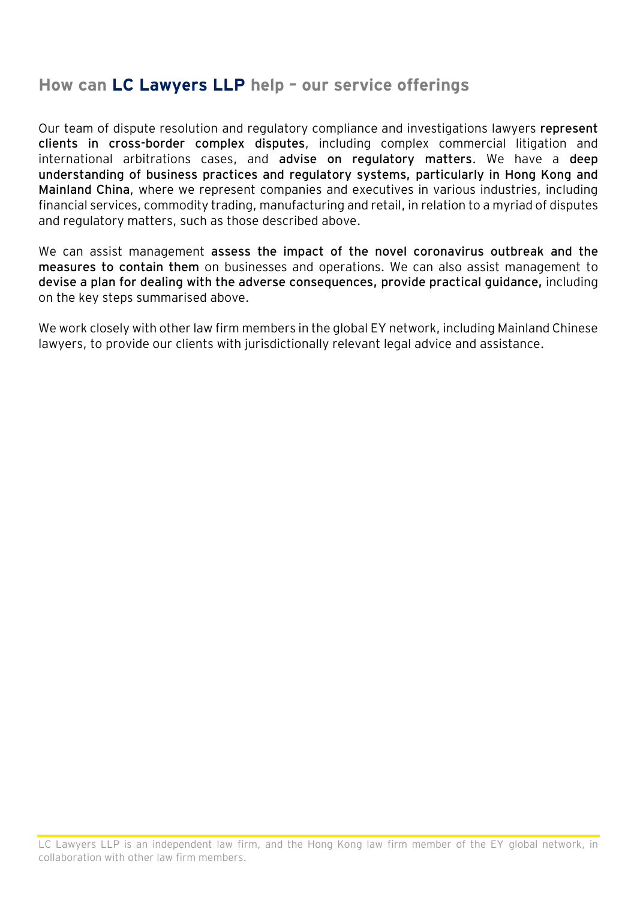### **How can LC Lawyers LLP help – our service offerings**

Our team of dispute resolution and regulatory compliance and investigations lawyers **represent clients in cross-border complex disputes**, including complex commercial litigation and international arbitrations cases, and **advise on regulatory matters**. We have a **deep understanding of business practices and regulatory systems, particularly in Hong Kong and Mainland China**, where we represent companies and executives in various industries, including financial services, commodity trading, manufacturing and retail, in relation to a myriad of disputes and regulatory matters, such as those described above.

We can assist management **assess the impact of the novel coronavirus outbreak and the measures to contain them** on businesses and operations. We can also assist management to **devise a plan for dealing with the adverse consequences, provide practical guidance,** including on the key steps summarised above.

We work closely with other law firm members in the global EY network, including Mainland Chinese lawyers, to provide our clients with jurisdictionally relevant legal advice and assistance.